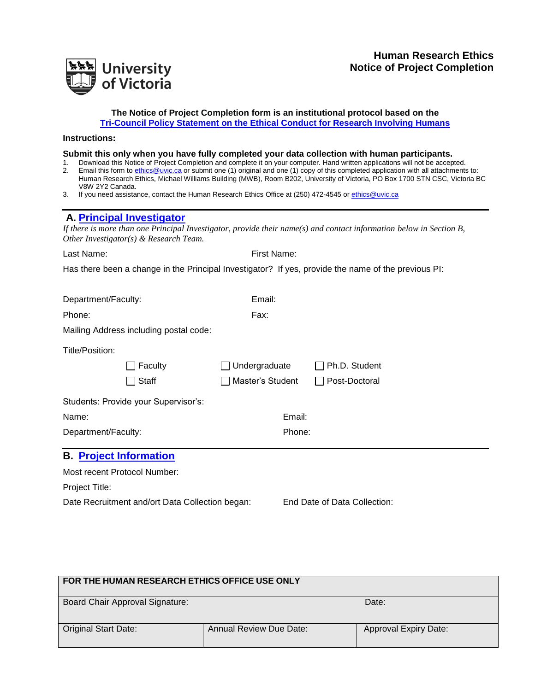

#### **The Notice of Project Completion form is an institutional protocol based on the [Tri-Council Policy Statement on the Ethical Conduct for Research Involving Humans](http://www.pre.ethics.gc.ca/eng/policy-politique/initiatives/tcps2-eptc2/Default/)**

#### **Instructions:**

#### **Submit this only when you have fully completed your data collection with human participants.**

- 1. Download this Notice of Project Completion and complete it on your computer. Hand written applications will not be accepted. 2. Email this form to [ethics@uvic.ca](mailto:ethics@uvic.ca) or submit one (1) original and one (1) copy of this completed application with all attachments to: Human Research Ethics, Michael Williams Building (MWB), Room B202, University of Victoria, PO Box 1700 STN CSC, Victoria BC V8W 2Y2 Canada.
- 3. If you need assistance, contact the Human Research Ethics Office at (250) 472-4545 o[r ethics@uvic.ca](mailto:ethics@uvic.ca)

# **A. [Principal Investigator](http://www.research.uvic.ca/ethics/HREguidelines/sectionA.htm)**

*If there is more than one Principal Investigator, provide their name(s) and contact information below in Section B, Other Investigator(s) & Research Team.*

| Last Name:                                                                                          | First Name:      |               |  |  |  |
|-----------------------------------------------------------------------------------------------------|------------------|---------------|--|--|--|
| Has there been a change in the Principal Investigator? If yes, provide the name of the previous PI: |                  |               |  |  |  |
|                                                                                                     |                  |               |  |  |  |
| Department/Faculty:                                                                                 | Email:           |               |  |  |  |
| Phone:                                                                                              | Fax:             |               |  |  |  |
| Mailing Address including postal code:                                                              |                  |               |  |  |  |
| Title/Position:                                                                                     |                  |               |  |  |  |
| Faculty                                                                                             | Undergraduate    | Ph.D. Student |  |  |  |
| Staff                                                                                               | Master's Student | Post-Doctoral |  |  |  |
| Students: Provide your Supervisor's:                                                                |                  |               |  |  |  |
| Name:                                                                                               | Email:           |               |  |  |  |
| Department/Faculty:                                                                                 | Phone:           |               |  |  |  |
| <b>B. Project Information</b>                                                                       |                  |               |  |  |  |
| Most recent Protocol Number:                                                                        |                  |               |  |  |  |
| Project Title:                                                                                      |                  |               |  |  |  |

Date Recruitment and/ort Data Collection began: End Date of Data Collection:

| FOR THE HUMAN RESEARCH ETHICS OFFICE USE ONLY |                                |                              |  |  |
|-----------------------------------------------|--------------------------------|------------------------------|--|--|
| <b>Board Chair Approval Signature:</b>        |                                | Date:                        |  |  |
| <b>Original Start Date:</b>                   | <b>Annual Review Due Date:</b> | <b>Approval Expiry Date:</b> |  |  |